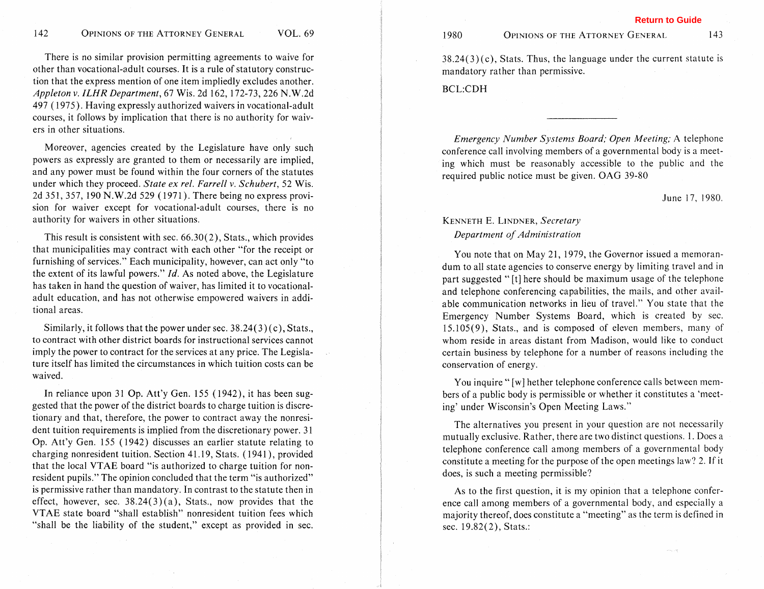There is no similar provision permitting agreements to waive for other than vocational-adult courses. It is a rule of statutory construction that the express mention of one item impliedly excludes another. *Appleton* v. *IEHR Department,* 67 Wis. 2d 162, 172-73,226 N.W.2d 497 ( 1975). Having expressly authorized waivers in vocational-adult courses, it follows by implication that there is no authority for waivers in other situations.

Moreover, agencies created by the Legislature have only such powers as expressly are granted to them or necessarily are implied, and any power must be found within the four corners of the statutes under which they proceed. *State ex rel. Farrell* v. *Schubert,* 52 Wis. 2d 351, 357, 190 N.W.2d 529 ( 1971 ). There being no express provision for waiver except for vocational-adult courses, there is no authority for waivers in other situations.

This result is consistent with sec. 66.30(2), Stats., which provides that municipalities may contract with each other "for the receipt or furnishing of services." Each municipality, however, can act only "to the extent of its lawful powers."  $Id$ . As noted above, the Legislature has taken in hand the question of waiver, has limited it to vocationaladult education, and has not otherwise empowered waivers in additional areas.

Similarly, it follows that the power under sec, 38.24(3) (c), Stats., to contract with other district boards for instructional services cannot imply the power to contract for the services at any price. The Legislature itself has limited the circumstances in which tuition costs can be waived.

In reliance upon 31 Op. Att'y Gen.  $155$  (1942), it has been suggested that the power of the district boards to charge tuition is discretionary and that, therefore, the power to contract away the nonresident tuition requirements is implied from the discretionary power. 3 1 Op. Att'y Gen. 155 (1942) discusses an earlier statute relating to charging nonresident tuition. Section 41.19, Stats. (1941), provided that the local VTAE board "is authorized to charge tuition for nonresident pupils." The opinion concluded that the term "is authorized" is permissive rather than mandatory. In contrast to the statute then in effect, however, sec.  $38.24(3)(a)$ , Stats., now provides that the VTAE state board "shall establish" nonresident tuition fees which "shall be the liability of the student," except as provided in sec.

1980

#### OPINIONS OF THE ATTORNEY GENERAL 143

**Return to Guide**

 $38.24(3)(c)$ , Stats. Thus, the language under the current statute is mandatory rather than permissive.

BCL:CDH

*Emergency Number Systems Board; Open Meeting; A* telephone conference call involving members of a governmental body is a meeting which must be reasonably accessible to the public and the required public notice must be given. OAG 39-80

#### June 17, 1980,

## KENNETH E. LINDNER, *Secretary Department of Administration*

You note that on May 21, 1979, the Governor issued a memorandum to all state agencies to conserve energy by limiting travel and in part suggested " [t] here should be maximum usage of the telephone and telephone conferencing capabilities, the mails, and other available communication networks in lieu of travel." You state that the Emergency Number Systems Board, which is created by sec. 15.105(9), Stats., and is composed of eleven members, many of whom reside in areas distant from Madison, would like to conduct certain business by telephone for a number of reasons including the conservation of energy.

You inquire " [w] hether telephone conference calls between members of a public body is permissible or whether it constitutes a 'meeting' under Wisconsin's Open Meeting Laws."

The alternatives you present in your question are not necessarily mutually exclusive. Rather, there are two distinct questions. 1. Does a telephone conference call among members of a governmental body constitute a meeting for the purpose of the open meetings law? 2. If it does, is such a meeting permissible?

As to the first question, it is my opinion that a telephone conference call among members of a governmental body, and especially a majority thereof, does constitute a "meeting" as the term is defined in sec. 19.82(2), Stats.: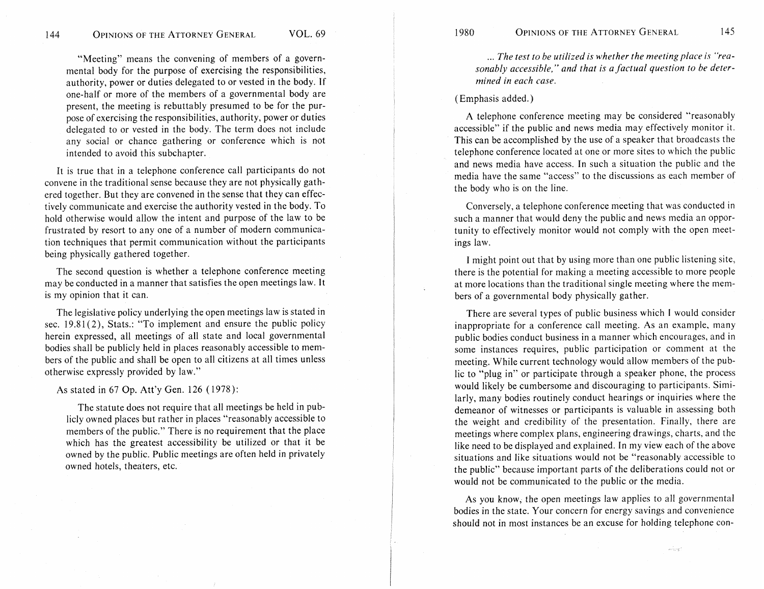"Meeting" means the convening of members of a governmental body for the purpose of exercising the responsibilities, authority, power or duties delegated to or vested in the body. If one-half or more of the members of a governmental body are present, the meeting is rebuttably presumed to be for the purpose of exercising the responsibilities, authority, power or duties delegated to or vested in the body. The term does not include any social or chance gathering or conference which is not intended to avoid this subchapter.

It is true that in a telephone conference call participants do not convene in the traditional sense because they are not physically gathered together. But they are convened in the sense that they can effectively communicate and exercise the authority vested in the body. To hold otherwise would allow the intent and purpose of the law to be frustrated by resort to any one of a number of modern communication techniques that permit communication without the participants being physically gathered together.

The second question is whether a telephone conference meeting may be conducted in a manner that satisfies the open meetings law. It is my opinion that it can.

The legislative policy underlying the open meetings law is stated in sec. 19.81(2), Stats.: "To implement and ensure the public policy herein expressed, all meetings of all state and local governmental bodies shall be publicly held in places reasonably accessible to members of the gublic and shall be open to all citizens at all times unless otherwise expressly provided by law."

As stated in 47 Op. Att'y Gen. 126 ( 1978):

The statute does not require that all meetings be held in publicly owned places but rather in places "reasonably accessible to members of the public." There is no requirement that the place which has the greatest accessibility be utilized or that it be owned by the public. Public meetings are often held in privately owned hotels, theaters, etc.

... *The test to be utilized is whether the meeting place is "rea*sonably accessible," and that is a factual question to be deter*mined in each case.* 

### ( Emphasis added.)

A teiephone conference meeting may be considered "reasonably accessible" if the public and news media may effectively monitor it. This can be accomplished by the use of a speaker that broadcasts the telephone conference located at one or more sites to which the public and news media have access. In such a situation the public and the media have the same "access" to the discussions as each member of the body who is on the line.

Conversely, a telephone conference meeting that was conducted in such a manner that would deny the public and news media an opportunity to effectively monitor would not comply with the open meetings law.

I might point out that by using more than one public listening site, there is the potential for making a meeting accessible to more people at more locations than the traditional single meeting where the members of a governmental body physically gather.

There are several types of public business which I would consider inappropriate for a conference call meeting. As an example, many public bodies conduct business in a manner which encourages, and in some instances requires, public participation or comment at the meeting. While current technology would allow members of the public to "plug in" or participate through a speaker phone, the process would likely be cumbersome and discouraging to participants. Similarly, many bodies routinely conduct hearings or inquiries where the demeanor of witnesses or participants is valuable in assessing both the weight and credibility of the presentation. Finally, there are meetings where complex plans, engineering drawings, charts, and the like need to be displayed and explained. In my view each of the above situations and like situations would not be "reasonably accessible to the public" because important parts of the deliberations could not or would not be communicated to the public or the media.

As you know, the open meetings law applies to all governmental bodies in the state. Your concern for energy savings and convenience should not in most instances be an excuse for holding telephone con-

wine